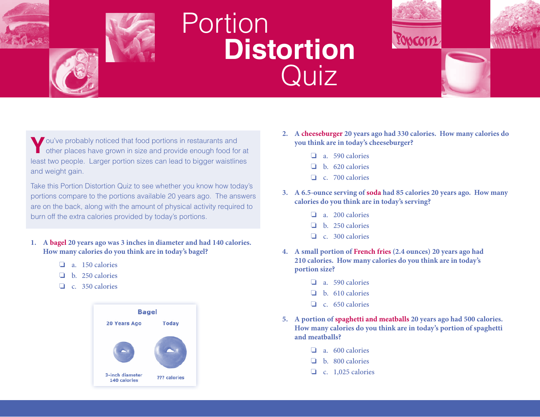



## **Portion Distortion** Quiz



Take this Portion Distortion Quiz to see whether you know how today's portions compare to the portions available 20 years ago. The answers are on the back, along with the amount of physical activity required to burn off the extra calories provided by today's portions.

- **1. A bagel 20 years ago was 3 inches in diameter and had 140 calories. How many calories do you think are in today's bagel?** 
	- $\Box$  a. 150 calories
	- $\Box$  b. 250 calories
	- $\Box$  c. 350 calories



- **2. A cheeseburger 20 years ago had 330 calories. How many calories do you think are in today's cheeseburger?** 
	- $\Box$  a. 590 calories
	- $\Box$  b. 620 calories
	- $\Box$  c. 700 calories
- **3. A 6.5-ounce serving of soda had 85 calories 20 years ago. How many calories do you think are in today's serving?** 
	- $\Box$  a. 200 calories
	- $\Box$  b. 250 calories
	- $\Box$  c. 300 calories
- **4. A small portion of French fries (2.4 ounces) 20 years ago had 210 calories. How many calories do you think are in today's portion size?** 
	- $\Box$  a. 590 calories
	- $\Box$  b. 610 calories
	- $\Box$  c. 650 calories
- **5. A portion of spaghetti and meatballs 20 years ago had 500 calories. How many calories do you think are in today's portion of spaghetti and meatballs?** 
	- $\Box$  a. 600 calories
	- $\Box$  b. 800 calories
	- $\Box$  c. 1,025 calories